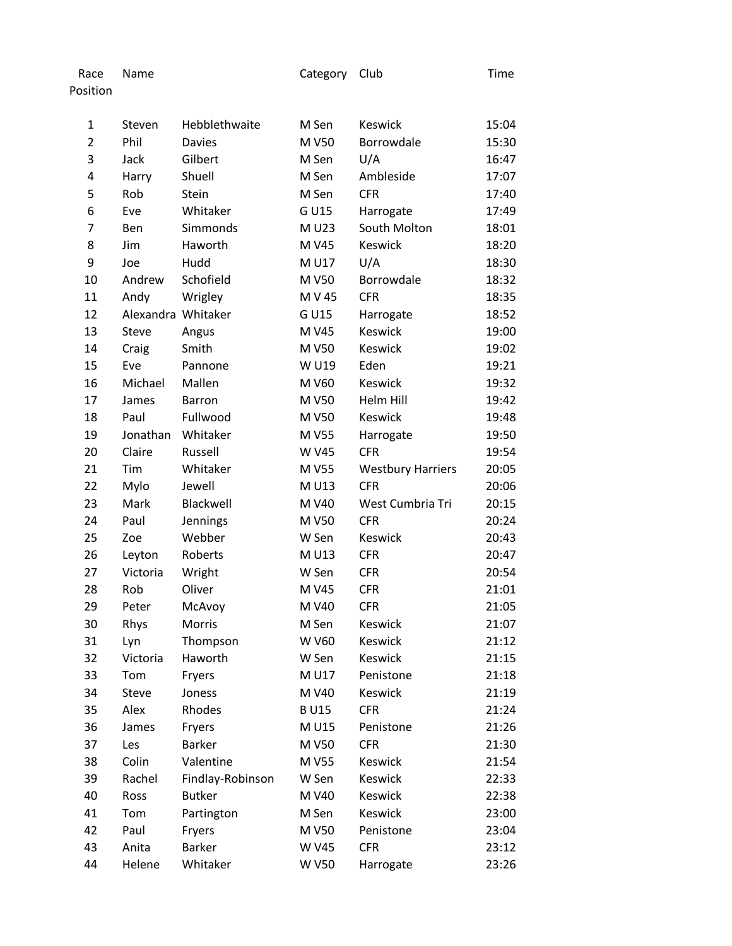| Race Name | Category Club | Time |
|-----------|---------------|------|
| Position  |               |      |

| $\mathbf{1}$   | Steven             | Hebblethwaite    | M Sen        | Keswick                  | 15:04 |
|----------------|--------------------|------------------|--------------|--------------------------|-------|
| $\overline{2}$ | Phil               | <b>Davies</b>    | M V50        | Borrowdale               | 15:30 |
| 3              | Jack               | Gilbert          | M Sen        | U/A                      | 16:47 |
| 4              | Harry              | Shuell           | M Sen        | Ambleside                | 17:07 |
| 5              | Rob                | Stein            | M Sen        | <b>CFR</b>               | 17:40 |
| 6              | Eve                | Whitaker         | G U15        | Harrogate                | 17:49 |
| 7              | Ben                | Simmonds         | M U23        | South Molton             | 18:01 |
| 8              | Jim                | Haworth          | M V45        | Keswick                  | 18:20 |
| 9              | Joe                | Hudd             | M U17        | U/A                      | 18:30 |
| 10             | Andrew             | Schofield        | M V50        | Borrowdale               | 18:32 |
| 11             | Andy               | Wrigley          | M V 45       | <b>CFR</b>               | 18:35 |
| 12             | Alexandra Whitaker |                  | G U15        | Harrogate                | 18:52 |
| 13             | <b>Steve</b>       | Angus            | M V45        | Keswick                  | 19:00 |
| 14             | Craig              | Smith            | M V50        | Keswick                  | 19:02 |
| 15             | Eve                | Pannone          | W U19        | Eden                     | 19:21 |
| 16             | Michael            | Mallen           | M V60        | Keswick                  | 19:32 |
| 17             | James              | <b>Barron</b>    | M V50        | Helm Hill                | 19:42 |
| 18             | Paul               | Fullwood         | M V50        | Keswick                  | 19:48 |
| 19             | Jonathan           | Whitaker         | M V55        | Harrogate                | 19:50 |
| 20             | Claire             | Russell          | W V45        | <b>CFR</b>               | 19:54 |
| 21             | Tim                | Whitaker         | M V55        | <b>Westbury Harriers</b> | 20:05 |
| 22             | Mylo               | Jewell           | M U13        | <b>CFR</b>               | 20:06 |
| 23             | Mark               | Blackwell        | M V40        | West Cumbria Tri         | 20:15 |
| 24             | Paul               | Jennings         | M V50        | <b>CFR</b>               | 20:24 |
| 25             | Zoe                | Webber           | W Sen        | Keswick                  | 20:43 |
| 26             | Leyton             | Roberts          | M U13        | <b>CFR</b>               | 20:47 |
| 27             | Victoria           | Wright           | W Sen        | <b>CFR</b>               | 20:54 |
| 28             | Rob                | Oliver           | M V45        | <b>CFR</b>               | 21:01 |
| 29             | Peter              | McAvoy           | M V40        | <b>CFR</b>               | 21:05 |
| 30             | Rhys               | Morris           | M Sen        | Keswick                  | 21:07 |
| 31             | Lyn                | Thompson         | W V60        | Keswick                  | 21:12 |
| 32             | Victoria           | Haworth          | W Sen        | Keswick                  | 21:15 |
| 33             | Tom                | Fryers           | M U17        | Penistone                | 21:18 |
| 34             | Steve              | Joness           | M V40        | Keswick                  | 21:19 |
| 35             | Alex               | Rhodes           | <b>BU15</b>  | <b>CFR</b>               | 21:24 |
| 36             | James              | Fryers           | M U15        | Penistone                | 21:26 |
| 37             | Les                | <b>Barker</b>    | M V50        | <b>CFR</b>               | 21:30 |
| 38             | Colin              | Valentine        | M V55        | Keswick                  | 21:54 |
| 39             | Rachel             | Findlay-Robinson | W Sen        | Keswick                  | 22:33 |
| 40             | Ross               | <b>Butker</b>    | M V40        | Keswick                  | 22:38 |
| 41             | Tom                | Partington       | M Sen        | Keswick                  | 23:00 |
| 42             | Paul               | Fryers           | M V50        | Penistone                | 23:04 |
| 43             | Anita              | <b>Barker</b>    | W V45        | <b>CFR</b>               | 23:12 |
| 44             | Helene             | Whitaker         | <b>W V50</b> | Harrogate                | 23:26 |